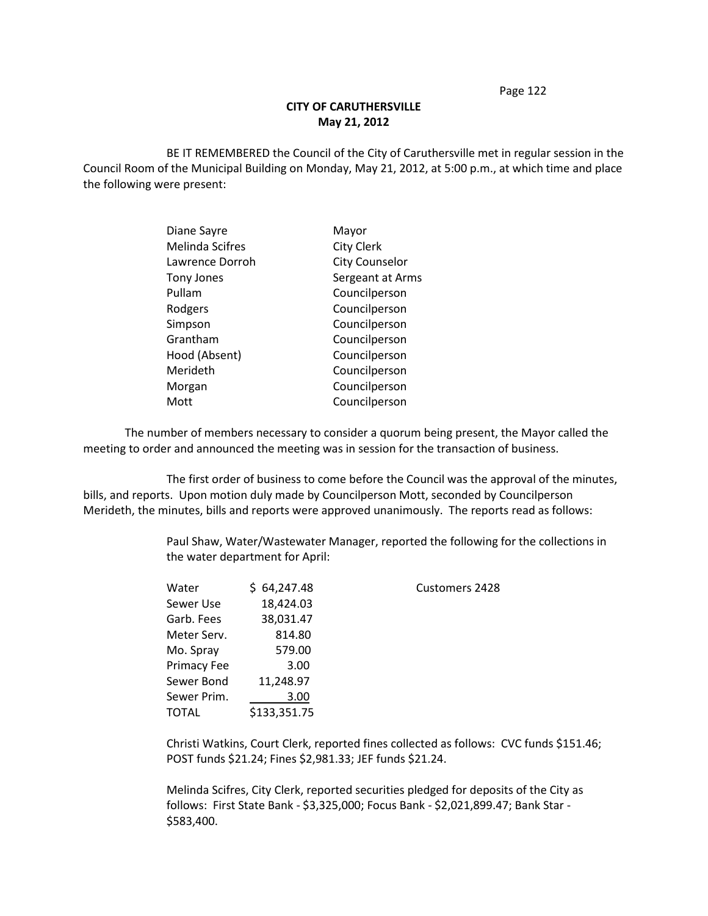Page 122

## **CITY OF CARUTHERSVILLE May 21, 2012**

BE IT REMEMBERED the Council of the City of Caruthersville met in regular session in the Council Room of the Municipal Building on Monday, May 21, 2012, at 5:00 p.m., at which time and place the following were present:

| Mayor                 |
|-----------------------|
| <b>City Clerk</b>     |
| <b>City Counselor</b> |
| Sergeant at Arms      |
| Councilperson         |
| Councilperson         |
| Councilperson         |
| Councilperson         |
| Councilperson         |
| Councilperson         |
| Councilperson         |
| Councilperson         |
|                       |

The number of members necessary to consider a quorum being present, the Mayor called the meeting to order and announced the meeting was in session for the transaction of business.

The first order of business to come before the Council was the approval of the minutes, bills, and reports. Upon motion duly made by Councilperson Mott, seconded by Councilperson Merideth, the minutes, bills and reports were approved unanimously. The reports read as follows:

> Paul Shaw, Water/Wastewater Manager, reported the following for the collections in the water department for April:

| 64,247.48    | <b>Customers 2428</b> |
|--------------|-----------------------|
| 18,424.03    |                       |
| 38,031.47    |                       |
| 814.80       |                       |
| 579.00       |                       |
| 3.00         |                       |
| 11,248.97    |                       |
| 3.00         |                       |
| \$133,351.75 |                       |
|              |                       |

Christi Watkins, Court Clerk, reported fines collected as follows: CVC funds \$151.46; POST funds \$21.24; Fines \$2,981.33; JEF funds \$21.24.

Melinda Scifres, City Clerk, reported securities pledged for deposits of the City as follows: First State Bank - \$3,325,000; Focus Bank - \$2,021,899.47; Bank Star - \$583,400.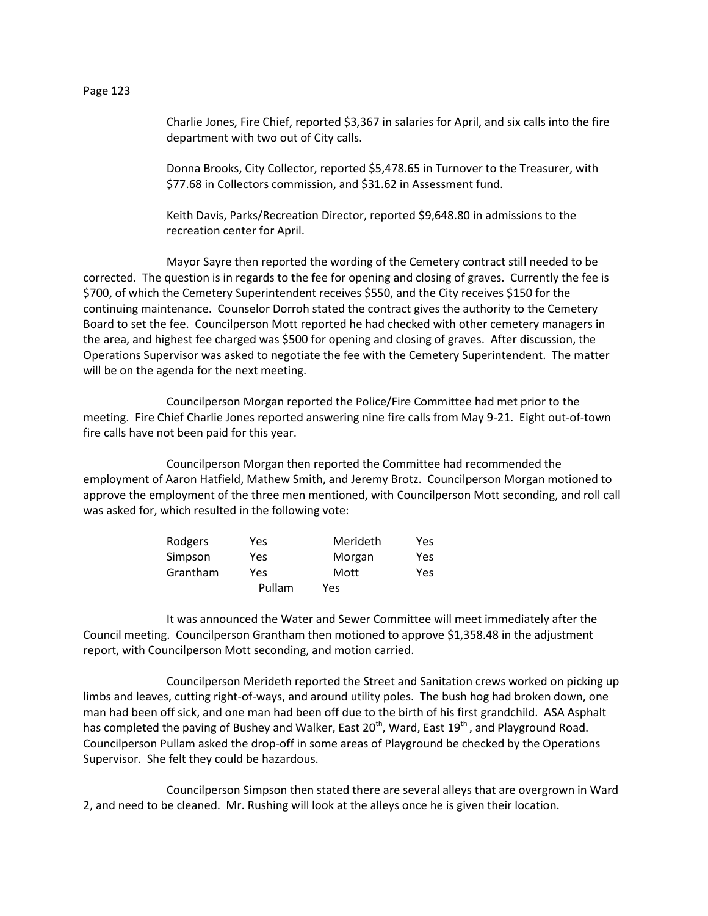Charlie Jones, Fire Chief, reported \$3,367 in salaries for April, and six calls into the fire department with two out of City calls.

Donna Brooks, City Collector, reported \$5,478.65 in Turnover to the Treasurer, with \$77.68 in Collectors commission, and \$31.62 in Assessment fund.

Keith Davis, Parks/Recreation Director, reported \$9,648.80 in admissions to the recreation center for April.

Mayor Sayre then reported the wording of the Cemetery contract still needed to be corrected. The question is in regards to the fee for opening and closing of graves. Currently the fee is \$700, of which the Cemetery Superintendent receives \$550, and the City receives \$150 for the continuing maintenance. Counselor Dorroh stated the contract gives the authority to the Cemetery Board to set the fee. Councilperson Mott reported he had checked with other cemetery managers in the area, and highest fee charged was \$500 for opening and closing of graves. After discussion, the Operations Supervisor was asked to negotiate the fee with the Cemetery Superintendent. The matter will be on the agenda for the next meeting.

Councilperson Morgan reported the Police/Fire Committee had met prior to the meeting. Fire Chief Charlie Jones reported answering nine fire calls from May 9-21. Eight out-of-town fire calls have not been paid for this year.

Councilperson Morgan then reported the Committee had recommended the employment of Aaron Hatfield, Mathew Smith, and Jeremy Brotz. Councilperson Morgan motioned to approve the employment of the three men mentioned, with Councilperson Mott seconding, and roll call was asked for, which resulted in the following vote:

| Rodgers  | Yes    | Merideth | Yes        |
|----------|--------|----------|------------|
| Simpson  | Yes    | Morgan   | <b>Yes</b> |
| Grantham | Yes    | Mott     | <b>Yes</b> |
|          | Pullam | Yes      |            |

It was announced the Water and Sewer Committee will meet immediately after the Council meeting. Councilperson Grantham then motioned to approve \$1,358.48 in the adjustment report, with Councilperson Mott seconding, and motion carried.

Councilperson Merideth reported the Street and Sanitation crews worked on picking up limbs and leaves, cutting right-of-ways, and around utility poles. The bush hog had broken down, one man had been off sick, and one man had been off due to the birth of his first grandchild. ASA Asphalt has completed the paving of Bushey and Walker, East 20<sup>th</sup>, Ward, East 19<sup>th</sup>, and Playground Road. Councilperson Pullam asked the drop-off in some areas of Playground be checked by the Operations Supervisor. She felt they could be hazardous.

Councilperson Simpson then stated there are several alleys that are overgrown in Ward 2, and need to be cleaned. Mr. Rushing will look at the alleys once he is given their location.

Page 123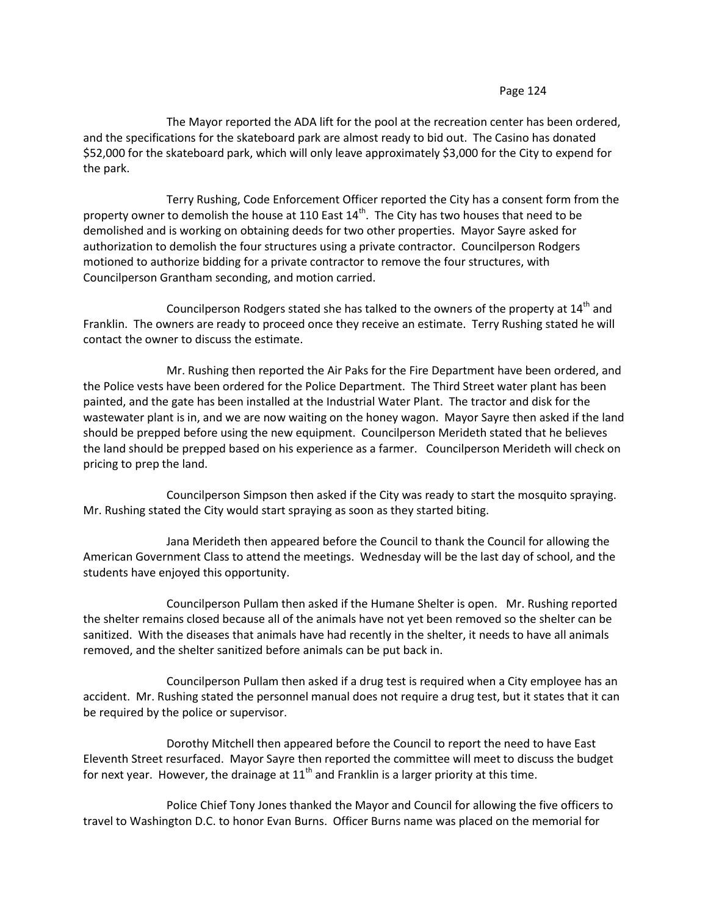## Page 124

The Mayor reported the ADA lift for the pool at the recreation center has been ordered, and the specifications for the skateboard park are almost ready to bid out. The Casino has donated \$52,000 for the skateboard park, which will only leave approximately \$3,000 for the City to expend for the park.

Terry Rushing, Code Enforcement Officer reported the City has a consent form from the property owner to demolish the house at 110 East  $14<sup>th</sup>$ . The City has two houses that need to be demolished and is working on obtaining deeds for two other properties. Mayor Sayre asked for authorization to demolish the four structures using a private contractor. Councilperson Rodgers motioned to authorize bidding for a private contractor to remove the four structures, with Councilperson Grantham seconding, and motion carried.

Councilperson Rodgers stated she has talked to the owners of the property at  $14<sup>th</sup>$  and Franklin. The owners are ready to proceed once they receive an estimate. Terry Rushing stated he will contact the owner to discuss the estimate.

Mr. Rushing then reported the Air Paks for the Fire Department have been ordered, and the Police vests have been ordered for the Police Department. The Third Street water plant has been painted, and the gate has been installed at the Industrial Water Plant. The tractor and disk for the wastewater plant is in, and we are now waiting on the honey wagon. Mayor Sayre then asked if the land should be prepped before using the new equipment. Councilperson Merideth stated that he believes the land should be prepped based on his experience as a farmer. Councilperson Merideth will check on pricing to prep the land.

Councilperson Simpson then asked if the City was ready to start the mosquito spraying. Mr. Rushing stated the City would start spraying as soon as they started biting.

Jana Merideth then appeared before the Council to thank the Council for allowing the American Government Class to attend the meetings. Wednesday will be the last day of school, and the students have enjoyed this opportunity.

Councilperson Pullam then asked if the Humane Shelter is open. Mr. Rushing reported the shelter remains closed because all of the animals have not yet been removed so the shelter can be sanitized. With the diseases that animals have had recently in the shelter, it needs to have all animals removed, and the shelter sanitized before animals can be put back in.

Councilperson Pullam then asked if a drug test is required when a City employee has an accident. Mr. Rushing stated the personnel manual does not require a drug test, but it states that it can be required by the police or supervisor.

Dorothy Mitchell then appeared before the Council to report the need to have East Eleventh Street resurfaced. Mayor Sayre then reported the committee will meet to discuss the budget for next year. However, the drainage at  $11<sup>th</sup>$  and Franklin is a larger priority at this time.

Police Chief Tony Jones thanked the Mayor and Council for allowing the five officers to travel to Washington D.C. to honor Evan Burns. Officer Burns name was placed on the memorial for